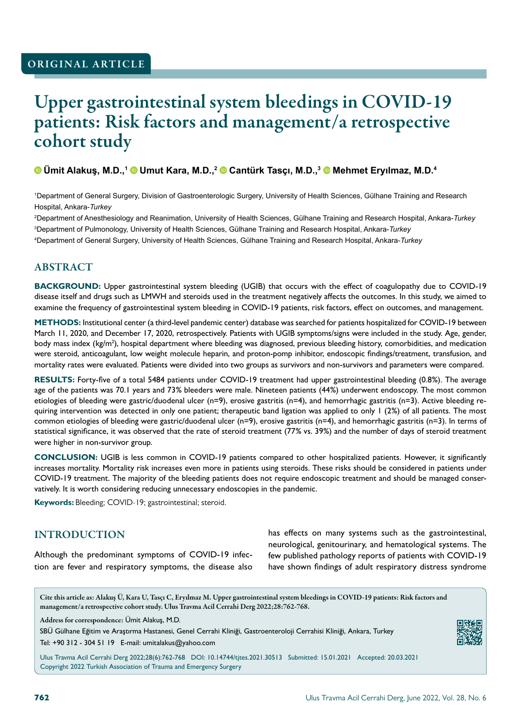# Upper gastrointestinal system bleedings in COVID-19 patients: Risk factors and management/a retrospective cohort study

#### **Ümit Alakuş, M.D.,<sup>1</sup> Umut Kara, M.D.,<sup>2</sup> Cantürk Tasçı, M.D.,<sup>3</sup> Mehmet Eryılmaz, M.D.<sup>4</sup>**

1 Department of General Surgery, Division of Gastroenterologic Surgery, University of Health Sciences, Gülhane Training and Research Hospital, Ankara-*Turkey*

2 Department of Anesthesiology and Reanimation, University of Health Sciences, Gülhane Training and Research Hospital, Ankara-*Turkey* 3 Department of Pulmonology, University of Health Sciences, Gülhane Training and Research Hospital, Ankara-*Turkey* 4 Department of General Surgery, University of Health Sciences, Gülhane Training and Research Hospital, Ankara-*Turkey*

#### **ABSTRACT**

**BACKGROUND:** Upper gastrointestinal system bleeding (UGIB) that occurs with the effect of coagulopathy due to COVID-19 disease itself and drugs such as LMWH and steroids used in the treatment negatively affects the outcomes. In this study, we aimed to examine the frequency of gastrointestinal system bleeding in COVID-19 patients, risk factors, effect on outcomes, and management.

**METHODS:** Institutional center (a third-level pandemic center) database was searched for patients hospitalized for COVID-19 between March 11, 2020, and December 17, 2020, retrospectively. Patients with UGIB symptoms/signs were included in the study. Age, gender, body mass index (kg/m<sup>2</sup>), hospital department where bleeding was diagnosed, previous bleeding history, comorbidities, and medication were steroid, anticoagulant, low weight molecule heparin, and proton-pomp inhibitor, endoscopic findings/treatment, transfusion, and mortality rates were evaluated. Patients were divided into two groups as survivors and non-survivors and parameters were compared.

**RESULTS:** Forty-five of a total 5484 patients under COVID-19 treatment had upper gastrointestinal bleeding (0.8%). The average age of the patients was 70.1 years and 73% bleeders were male. Nineteen patients (44%) underwent endoscopy. The most common etiologies of bleeding were gastric/duodenal ulcer (n=9), erosive gastritis (n=4), and hemorrhagic gastritis (n=3). Active bleeding requiring intervention was detected in only one patient; therapeutic band ligation was applied to only 1 (2%) of all patients. The most common etiologies of bleeding were gastric/duodenal ulcer (n=9), erosive gastritis (n=4), and hemorrhagic gastritis (n=3). In terms of statistical significance, it was observed that the rate of steroid treatment (77% vs. 39%) and the number of days of steroid treatment were higher in non-survivor group.

**CONCLUSION:** UGIB is less common in COVID-19 patients compared to other hospitalized patients. However, it significantly increases mortality. Mortality risk increases even more in patients using steroids. These risks should be considered in patients under COVID-19 treatment. The majority of the bleeding patients does not require endoscopic treatment and should be managed conservatively. It is worth considering reducing unnecessary endoscopies in the pandemic.

**Keywords:** Bleeding; COVID-19; gastrointestinal; steroid.

#### INTRODUCTION

Although the predominant symptoms of COVID-19 infection are fever and respiratory symptoms, the disease also has effects on many systems such as the gastrointestinal, neurological, genitourinary, and hematological systems. The few published pathology reports of patients with COVID-19 have shown findings of adult respiratory distress syndrome

Cite this article as: Alakuş Ü, Kara U, Tasçı C, Eryılmaz M. Upper gastrointestinal system bleedings in COVID-19 patients: Risk factors and management/a retrospective cohort study. Ulus Travma Acil Cerrahi Derg 2022;28:762-768.

Address for correspondence: Ümit Alakuş, M.D.

SBÜ Gülhane Eğitim ve Araştırma Hastanesi, Genel Cerrahi Kliniği, Gastroenteroloji Cerrahisi Kliniği, Ankara, Turkey Tel: +90 312 - 304 51 19 E-mail: umitalakus@yahoo.com

Ulus Travma Acil Cerrahi Derg 2022;28(6):762-768 DOI: 10.14744/tjtes.2021.30513 Submitted: 15.01.2021 Accepted: 20.03.2021 Copyright 2022 Turkish Association of Trauma and Emergency Surgery

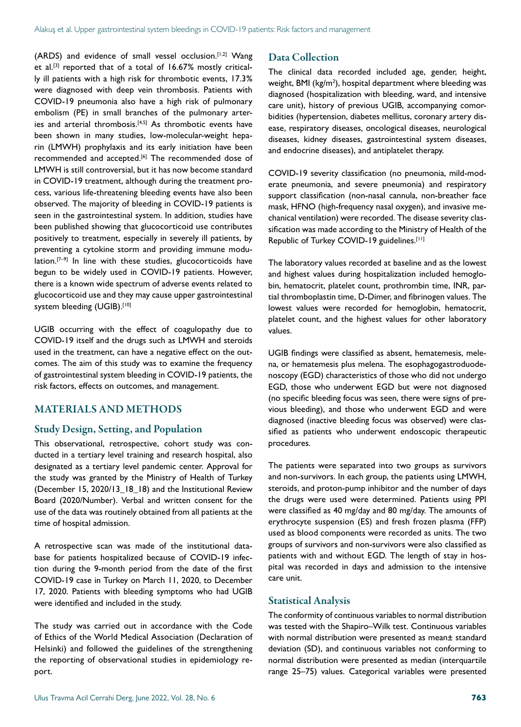(ARDS) and evidence of small vessel occlusion.<sup>[1,2]</sup> Wang et al.<sup>[3]</sup> reported that of a total of 16.67% mostly critically ill patients with a high risk for thrombotic events, 17.3% were diagnosed with deep vein thrombosis. Patients with COVID-19 pneumonia also have a high risk of pulmonary embolism (PE) in small branches of the pulmonary arteries and arterial thrombosis.<sup>[4,5]</sup> As thrombotic events have been shown in many studies, low-molecular-weight heparin (LMWH) prophylaxis and its early initiation have been recommended and accepted.<sup>[6]</sup> The recommended dose of LMWH is still controversial, but it has now become standard in COVID-19 treatment, although during the treatment process, various life-threatening bleeding events have also been observed. The majority of bleeding in COVID-19 patients is seen in the gastrointestinal system. In addition, studies have been published showing that glucocorticoid use contributes positively to treatment, especially in severely ill patients, by preventing a cytokine storm and providing immune modulation. $[7-9]$  In line with these studies, glucocorticoids have begun to be widely used in COVID-19 patients. However, there is a known wide spectrum of adverse events related to glucocorticoid use and they may cause upper gastrointestinal system bleeding (UGIB).[10]

UGIB occurring with the effect of coagulopathy due to COVID-19 itself and the drugs such as LMWH and steroids used in the treatment, can have a negative effect on the outcomes. The aim of this study was to examine the frequency of gastrointestinal system bleeding in COVID-19 patients, the risk factors, effects on outcomes, and management.

### MATERIALS AND METHODS

#### Study Design, Setting, and Population

This observational, retrospective, cohort study was conducted in a tertiary level training and research hospital, also designated as a tertiary level pandemic center. Approval for the study was granted by the Ministry of Health of Turkey (December 15, 2020/13\_18\_18) and the Institutional Review Board (2020/Number). Verbal and written consent for the use of the data was routinely obtained from all patients at the time of hospital admission.

A retrospective scan was made of the institutional database for patients hospitalized because of COVID-19 infection during the 9-month period from the date of the first COVID-19 case in Turkey on March 11, 2020, to December 17, 2020. Patients with bleeding symptoms who had UGIB were identified and included in the study.

The study was carried out in accordance with the Code of Ethics of the World Medical Association (Declaration of Helsinki) and followed the guidelines of the strengthening the reporting of observational studies in epidemiology report.

#### Data Collection

The clinical data recorded included age, gender, height, weight, BMI ( $kg/m<sup>2</sup>$ ), hospital department where bleeding was diagnosed (hospitalization with bleeding, ward, and intensive care unit), history of previous UGIB, accompanying comorbidities (hypertension, diabetes mellitus, coronary artery disease, respiratory diseases, oncological diseases, neurological diseases, kidney diseases, gastrointestinal system diseases, and endocrine diseases), and antiplatelet therapy.

COVID-19 severity classification (no pneumonia, mild-moderate pneumonia, and severe pneumonia) and respiratory support classification (non-nasal cannula, non-breather face mask, HFNO (high-frequency nasal oxygen), and invasive mechanical ventilation) were recorded. The disease severity classification was made according to the Ministry of Health of the Republic of Turkey COVID-19 guidelines.<sup>[11]</sup>

The laboratory values recorded at baseline and as the lowest and highest values during hospitalization included hemoglobin, hematocrit, platelet count, prothrombin time, INR, partial thromboplastin time, D-Dimer, and fibrinogen values. The lowest values were recorded for hemoglobin, hematocrit, platelet count, and the highest values for other laboratory values.

UGIB findings were classified as absent, hematemesis, melena, or hematemesis plus melena. The esophagogastroduodenoscopy (EGD) characteristics of those who did not undergo EGD, those who underwent EGD but were not diagnosed (no specific bleeding focus was seen, there were signs of previous bleeding), and those who underwent EGD and were diagnosed (inactive bleeding focus was observed) were classified as patients who underwent endoscopic therapeutic procedures.

The patients were separated into two groups as survivors and non-survivors. In each group, the patients using LMWH, steroids, and proton-pump inhibitor and the number of days the drugs were used were determined. Patients using PPI were classified as 40 mg/day and 80 mg/day. The amounts of erythrocyte suspension (ES) and fresh frozen plasma (FFP) used as blood components were recorded as units. The two groups of survivors and non-survivors were also classified as patients with and without EGD. The length of stay in hospital was recorded in days and admission to the intensive care unit.

#### Statistical Analysis

The conformity of continuous variables to normal distribution was tested with the Shapiro–Wilk test. Continuous variables with normal distribution were presented as mean± standard deviation (SD), and continuous variables not conforming to normal distribution were presented as median (interquartile range 25–75) values. Categorical variables were presented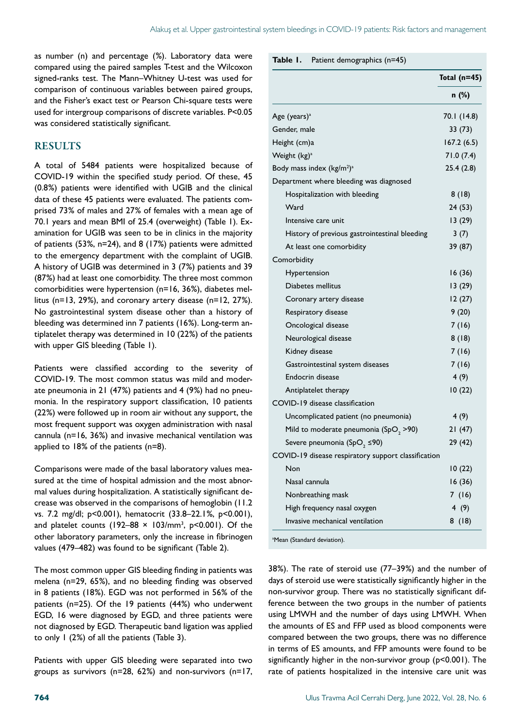as number (n) and percentage (%). Laboratory data were compared using the paired samples T-test and the Wilcoxon signed-ranks test. The Mann–Whitney U-test was used for comparison of continuous variables between paired groups, and the Fisher's exact test or Pearson Chi-square tests were used for intergroup comparisons of discrete variables. P<0.05 was considered statistically significant.

#### **RESULTS**

A total of 5484 patients were hospitalized because of COVID-19 within the specified study period. Of these, 45 (0.8%) patients were identified with UGIB and the clinical data of these 45 patients were evaluated. The patients comprised 73% of males and 27% of females with a mean age of 70.1 years and mean BMI of 25.4 (overweight) (Table 1). Examination for UGIB was seen to be in clinics in the majority of patients (53%, n=24), and 8 (17%) patients were admitted to the emergency department with the complaint of UGIB. A history of UGIB was determined in 3 (7%) patients and 39 (87%) had at least one comorbidity. The three most common comorbidities were hypertension (n=16, 36%), diabetes mellitus (n=13, 29%), and coronary artery disease (n=12, 27%). No gastrointestinal system disease other than a history of bleeding was determined inn 7 patients (16%). Long-term antiplatelet therapy was determined in 10 (22%) of the patients with upper GIS bleeding (Table 1).

Patients were classified according to the severity of COVID-19. The most common status was mild and moderate pneumonia in 21 (47%) patients and 4 (9%) had no pneumonia. In the respiratory support classification, 10 patients (22%) were followed up in room air without any support, the most frequent support was oxygen administration with nasal cannula (n=16, 36%) and invasive mechanical ventilation was applied to 18% of the patients (n=8).

Comparisons were made of the basal laboratory values measured at the time of hospital admission and the most abnormal values during hospitalization. A statistically significant decrease was observed in the comparisons of hemoglobin (11.2 vs. 7.2 mg/dl; p<0.001), hematocrit (33.8–22.1%, p<0.001), and platelet counts (192–88  $\times$  103/mm<sup>3</sup>, p<0.001). Of the other laboratory parameters, only the increase in fibrinogen values (479–482) was found to be significant (Table 2).

The most common upper GIS bleeding finding in patients was melena (n=29, 65%), and no bleeding finding was observed in 8 patients (18%). EGD was not performed in 56% of the patients (n=25). Of the 19 patients (44%) who underwent EGD, 16 were diagnosed by EGD, and three patients were not diagnosed by EGD. Therapeutic band ligation was applied to only 1 (2%) of all the patients (Table 3).

Patients with upper GIS bleeding were separated into two groups as survivors (n=28, 62%) and non-survivors (n=17, **Table 1.** Patient demographics (n=45)

|                                                     | Total $(n=45)$ |
|-----------------------------------------------------|----------------|
|                                                     | n (%)          |
| Age (years) <sup>a</sup>                            | 70.1 (14.8)    |
| Gender, male                                        | 33 (73)        |
| Height (cm)a                                        | 167.2 (6.5)    |
| Weight (kg) <sup>a</sup>                            | 71.0(7.4)      |
| Body mass index $(kg/m2)a$                          | 25.4(2.8)      |
| Department where bleeding was diagnosed             |                |
| Hospitalization with bleeding                       | 8(18)          |
| Ward                                                | 24 (53)        |
| Intensive care unit                                 | 13(29)         |
| History of previous gastrointestinal bleeding       | 3(7)           |
| At least one comorbidity                            | 39 (87)        |
| Comorbidity                                         |                |
| Hypertension                                        | 16 (36)        |
| Diabetes mellitus                                   | 13 (29)        |
| Coronary artery disease                             | 12(27)         |
| Respiratory disease                                 | 9(20)          |
| Oncological disease                                 | 7 (16)         |
| Neurological disease                                | 8(18)          |
| Kidney disease                                      | 7(16)          |
| Gastrointestinal system diseases                    | 7 (16)         |
| Endocrin disease                                    | 4 (9)          |
| Antiplatelet therapy                                | 10(22)         |
| COVID-19 disease classification                     |                |
| Uncomplicated patient (no pneumonia)                | 4(9)           |
| Mild to moderate pneumonia (SpO <sub>2</sub> > 90)  | 21(47)         |
| Severe pneumonia (SpO <sub>2</sub> ≤90)             | 29 (42)        |
| COVID-19 disease respiratory support classification |                |
| Non                                                 | 10(22)         |
| Nasal cannula                                       | 16(36)         |
| Nonbreathing mask                                   | 7(16)          |
| High frequency nasal oxygen                         | 4(9)           |
| Invasive mechanical ventilation                     | 8(18)          |

<sup>a</sup>Mean (Standard deviation).

38%). The rate of steroid use (77–39%) and the number of days of steroid use were statistically significantly higher in the non-survivor group. There was no statistically significant difference between the two groups in the number of patients using LMWH and the number of days using LMWH. When the amounts of ES and FFP used as blood components were compared between the two groups, there was no difference in terms of ES amounts, and FFP amounts were found to be significantly higher in the non-survivor group (p<0.001). The rate of patients hospitalized in the intensive care unit was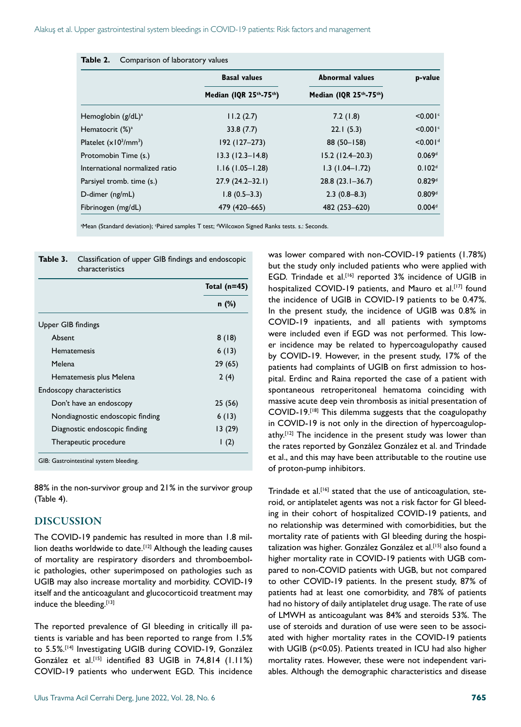|                                | <b>Basal values</b>                              | <b>Abnormal values</b> | p-value              |  |
|--------------------------------|--------------------------------------------------|------------------------|----------------------|--|
|                                | Median (IQR 25 <sup>th</sup> -75 <sup>th</sup> ) | Median (IQR 25th-75th) |                      |  |
| Hemoglobin (g/dL) <sup>a</sup> | 11.2(2.7)                                        | 7.2(1.8)               | $< 0.001$ °          |  |
| Hematocrit $(\%)^a$            | 33.8(7.7)                                        | 22.1(5.3)              | < 0.001              |  |
| Platelet $(x10^3/\text{mm}^3)$ | $192(127 - 273)$                                 | 88 (50-158)            | < 0.001 <sup>d</sup> |  |
| Protomobin Time (s.)           | $13.3(12.3 - 14.8)$                              | $15.2(12.4 - 20.3)$    | 0.069 <sup>d</sup>   |  |
| International normalized ratio | $1.16(1.05 - 1.28)$                              | $1.3(1.04 - 1.72)$     | 0.102 <sup>d</sup>   |  |
| Parsiyel tromb. time (s.)      | $27.9(24.2 - 32.1)$                              | $28.8(23.1 - 36.7)$    | 0.829d               |  |
| D-dimer (ng/mL)                | $1.8(0.5-3.3)$                                   | $2.3(0.8-8.3)$         | 0.809d               |  |
| Fibrinogen (mg/dL)             | 479 (420 - 665)                                  | 482 (253-620)          | 0.004 <sup>d</sup>   |  |

 $^{\circ}$ Mean (Standard deviation); 'Paired samples T test; 'Wilcoxon Signed Ranks tests. s.: Seconds.

|                                  | Total $(n=45)$ |
|----------------------------------|----------------|
|                                  | $n$ (%)        |
| Upper GIB findings               |                |
| Absent                           | 8(18)          |
| <b>Hematemesis</b>               | 6(13)          |
| Melena                           | 29(65)         |
| Hematemesis plus Melena          | 2(4)           |
| Endoscopy characteristics        |                |
| Don't have an endoscopy          | 25(56)         |
| Nondiagnostic endoscopic finding | 6(13)          |
| Diagnostic endoscopic finding    | 13 (29)        |
| Therapeutic procedure            | (2)            |

88% in the non-survivor group and 21% in the survivor group (Table 4).

#### DISCUSSION

The COVID-19 pandemic has resulted in more than 1.8 million deaths worldwide to date.<sup>[12]</sup> Although the leading causes of mortality are respiratory disorders and thromboembolic pathologies, other superimposed on pathologies such as UGIB may also increase mortality and morbidity. COVID-19 itself and the anticoagulant and glucocorticoid treatment may induce the bleeding.[13]

The reported prevalence of GI bleeding in critically ill patients is variable and has been reported to range from 1.5% to 5.5%.[14] Investigating UGIB during COVID-19, González González et al.<sup>[15]</sup> identified 83 UGIB in 74,814 (1.11%) COVID-19 patients who underwent EGD. This incidence

Ulus Travma Acil Cerrahi Derg, June 2022, Vol. 28, No. 6 765

was lower compared with non-COVID-19 patients (1.78%) but the study only included patients who were applied with EGD. Trindade et al.<sup>[16]</sup> reported 3% incidence of UGIB in hospitalized COVID-19 patients, and Mauro et al.<sup>[17]</sup> found the incidence of UGIB in COVID-19 patients to be 0.47%. In the present study, the incidence of UGIB was 0.8% in COVID-19 inpatients, and all patients with symptoms were included even if EGD was not performed. This lower incidence may be related to hypercoagulopathy caused by COVID-19. However, in the present study, 17% of the patients had complaints of UGIB on first admission to hospital. Erdinc and Raina reported the case of a patient with spontaneous retroperitoneal hematoma coinciding with massive acute deep vein thrombosis as initial presentation of COVID-19.[18] This dilemma suggests that the coagulopathy in COVID-19 is not only in the direction of hypercoagulopathy.<sup>[12]</sup> The incidence in the present study was lower than the rates reported by González González et al. and Trindade et al., and this may have been attributable to the routine use of proton-pump inhibitors.

Trindade et al.<sup>[16]</sup> stated that the use of anticoagulation, steroid, or antiplatelet agents was not a risk factor for GI bleeding in their cohort of hospitalized COVID-19 patients, and no relationship was determined with comorbidities, but the mortality rate of patients with GI bleeding during the hospitalization was higher. González González et al.<sup>[15]</sup> also found a higher mortality rate in COVID-19 patients with UGB compared to non-COVID patients with UGB, but not compared to other COVID-19 patients. In the present study, 87% of patients had at least one comorbidity, and 78% of patients had no history of daily antiplatelet drug usage. The rate of use of LMWH as anticoagulant was 84% and steroids 53%. The use of steroids and duration of use were seen to be associated with higher mortality rates in the COVID-19 patients with UGIB (p<0.05). Patients treated in ICU had also higher mortality rates. However, these were not independent variables. Although the demographic characteristics and disease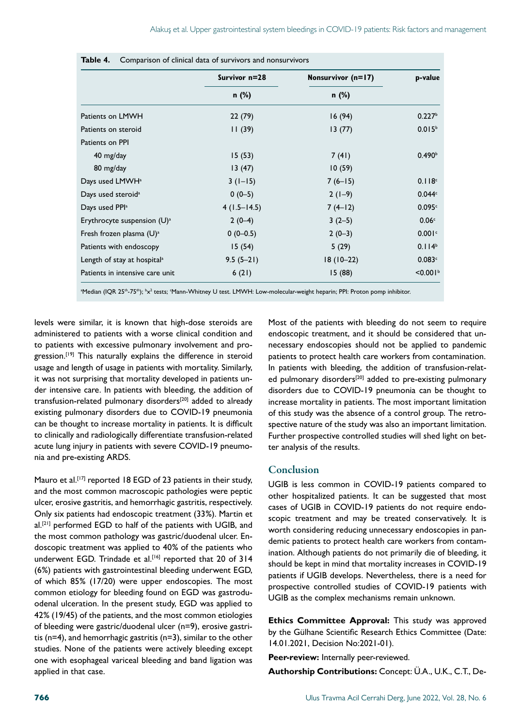|                                         | Survivor n=28 | Nonsurvivor (n=17) | p-value              |  |
|-----------------------------------------|---------------|--------------------|----------------------|--|
|                                         | n (%)         | n (%)              |                      |  |
| Patients on LMWH                        | 22(79)        | 16(94)             | 0.227 <sup>b</sup>   |  |
| Patients on steroid                     | 11(39)        | 13(77)             | 0.015 <sup>b</sup>   |  |
| Patients on PPI                         |               |                    |                      |  |
| 40 mg/day                               | 15(53)        | 7(41)              | 0.490 <sup>b</sup>   |  |
| 80 mg/day                               | 13(47)        | 10(59)             |                      |  |
| Days used LMWH <sup>a</sup>             | $3(1-15)$     | $7(6-15)$          | 0.118c               |  |
| Days used steroid <sup>a</sup>          | $0(0-5)$      | $2(1-9)$           | 0.044c               |  |
| Days used PPI <sup>a</sup>              | $4(1.5-14.5)$ | $7(4-12)$          | 0.095c               |  |
| Erythrocyte suspension $(U)^a$          | $2(0-4)$      | $3(2-5)$           | 0.06 <sup>c</sup>    |  |
| Fresh frozen plasma $(U)^a$             | $0(0-0.5)$    | $2(0-3)$           | 0.001c               |  |
| Patients with endoscopy                 | 15(54)        | 5(29)              | 0.114 <sup>b</sup>   |  |
| Length of stay at hospital <sup>a</sup> | $9.5(5-21)$   | $18(10-22)$        | 0.083c               |  |
| Patients in intensive care unit         | 6(21)         | 15(88)             | < 0.001 <sup>b</sup> |  |

|  | <b>Table 4.</b> Comparison of clinical data of survivors and nonsurvivors |  |  |  |  |  |  |
|--|---------------------------------------------------------------------------|--|--|--|--|--|--|
|--|---------------------------------------------------------------------------|--|--|--|--|--|--|

ªMedian (IQR 25<sup>th</sup>-75<sup>th</sup>); <sup>b</sup>x<sup>2</sup> tests; 'Mann-Whitney U test. LMWH: Low-molecular-weight heparin; PPI: Proton pomp inhibitor.

levels were similar, it is known that high-dose steroids are administered to patients with a worse clinical condition and to patients with excessive pulmonary involvement and progression.<sup>[19]</sup> This naturally explains the difference in steroid usage and length of usage in patients with mortality. Similarly, it was not surprising that mortality developed in patients under intensive care. In patients with bleeding, the addition of transfusion-related pulmonary disorders<sup>[20]</sup> added to already existing pulmonary disorders due to COVID-19 pneumonia can be thought to increase mortality in patients. It is difficult to clinically and radiologically differentiate transfusion-related acute lung injury in patients with severe COVID-19 pneumonia and pre-existing ARDS.

Mauro et al.<sup>[17]</sup> reported 18 EGD of 23 patients in their study, and the most common macroscopic pathologies were peptic ulcer, erosive gastritis, and hemorrhagic gastritis, respectively. Only six patients had endoscopic treatment (33%). Martin et al.<sup>[21]</sup> performed EGD to half of the patients with UGIB, and the most common pathology was gastric/duodenal ulcer. Endoscopic treatment was applied to 40% of the patients who underwent EGD. Trindade et al.<sup>[16]</sup> reported that 20 of 314 (6%) patients with gastrointestinal bleeding underwent EGD, of which 85% (17/20) were upper endoscopies. The most common etiology for bleeding found on EGD was gastroduodenal ulceration. In the present study, EGD was applied to 42% (19/45) of the patients, and the most common etiologies of bleeding were gastric/duodenal ulcer (n=9), erosive gastritis (n=4), and hemorrhagic gastritis (n=3), similar to the other studies. None of the patients were actively bleeding except one with esophageal variceal bleeding and band ligation was applied in that case.

Most of the patients with bleeding do not seem to require endoscopic treatment, and it should be considered that unnecessary endoscopies should not be applied to pandemic patients to protect health care workers from contamination. In patients with bleeding, the addition of transfusion-related pulmonary disorders<sup>[20]</sup> added to pre-existing pulmonary disorders due to COVID-19 pneumonia can be thought to increase mortality in patients. The most important limitation of this study was the absence of a control group. The retrospective nature of the study was also an important limitation. Further prospective controlled studies will shed light on better analysis of the results.

#### Conclusion

UGIB is less common in COVID-19 patients compared to other hospitalized patients. It can be suggested that most cases of UGIB in COVID-19 patients do not require endoscopic treatment and may be treated conservatively. It is worth considering reducing unnecessary endoscopies in pandemic patients to protect health care workers from contamination. Although patients do not primarily die of bleeding, it should be kept in mind that mortality increases in COVID-19 patients if UGIB develops. Nevertheless, there is a need for prospective controlled studies of COVID-19 patients with UGIB as the complex mechanisms remain unknown.

**Ethics Committee Approval:** This study was approved by the Gülhane Scientific Research Ethics Committee (Date: 14.01.2021, Decision No:2021-01).

**Peer-review:** Internally peer-reviewed.

**Authorship Contributions:** Concept: Ü.A., U.K., C.T., De-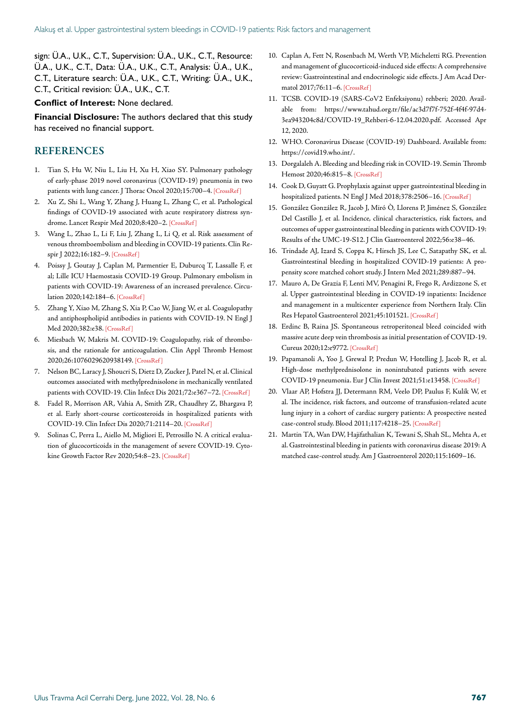sign: Ü.A., U.K., C.T., Supervision: Ü.A., U.K., C.T., Resource: Ü.A., U.K., C.T., Data: Ü.A., U.K., C.T., Analysis: Ü.A., U.K., C.T., Literature search: Ü.A., U.K., C.T., Writing: Ü.A., U.K., C.T., Critical revision: Ü.A., U.K., C.T.

#### **Conflict of Interest:** None declared.

**Financial Disclosure:** The authors declared that this study has received no financial support.

#### REFERENCES

- 1. Tian S, Hu W, Niu L, Liu H, Xu H, Xiao SY. Pulmonary pathology of early-phase 2019 novel coronavirus (COVID-19) pneumonia in two patients with lung cancer. J Thorac Oncol 2020;15:700-4. [CrossRef]
- 2. Xu Z, Shi L, Wang Y, Zhang J, Huang L, Zhang C, et al. Pathological findings of COVID-19 associated with acute respiratory distress syndrome. Lancet Respir Med 2020;8:420-2. [CrossRef]
- 3. Wang L, Zhao L, Li F, Liu J, Zhang L, Li Q, et al. Risk assessment of venous thromboembolism and bleeding in COVID-19 patients. Clin Respir J 2022;16:182-9. [CrossRef]
- 4. Poissy J, Goutay J, Caplan M, Parmentier E, Duburcq T, Lassalle F, et al; Lille ICU Haemostasis COVID-19 Group. Pulmonary embolism in patients with COVID-19: Awareness of an increased prevalence. Circulation 2020;142:184–6[. \[CrossRef \]](https://doi.org/10.1161/CIRCULATIONAHA.120.047430)
- 5. Zhang Y, Xiao M, Zhang S, Xia P, Cao W, Jiang W, et al. Coagulopathy and antiphospholipid antibodies in patients with COVID-19. N Engl J Med 2020;382:e38[. \[CrossRef \]](https://doi.org/10.1056/NEJMc2007575)
- 6. Miesbach W, Makris M. COVID-19: Coagulopathy, risk of thrombosis, and the rationale for anticoagulation. Clin Appl Thromb Hemost 2020;26:1076029620938149[. \[CrossRef \]](https://doi.org/10.1177/1076029620938149)
- 7. Nelson BC, Laracy J, Shoucri S, Dietz D, Zucker J, Patel N, et al. Clinical outcomes associated with methylprednisolone in mechanically ventilated patients with COVID-19. Clin Infect Dis 2021;72:e367-72. [CrossRef]
- 8. Fadel R, Morrison AR, Vahia A, Smith ZR, Chaudhry Z, Bhargava P, et al. Early short-course corticosteroids in hospitalized patients with COVID-19. Clin Infect Dis 2020;71:2114–20[. \[CrossRef \]](https://doi.org/10.1093/cid/ciaa601)
- 9. Solinas C, Perra L, Aiello M, Migliori E, Petrosillo N. A critical evaluation of glucocorticoids in the management of severe COVID-19. Cytokine Growth Factor Rev 2020;54:8–2[3. \[CrossRef \]](https://doi.org/10.1016/j.cytogfr.2020.06.012)
- 10. Caplan A, Fett N, Rosenbach M, Werth VP, Micheletti RG. Prevention and management of glucocorticoid-induced side effects: A comprehensive review: Gastrointestinal and endocrinologic side effects. J Am Acad Dermatol 2017;76:11–6[. \[CrossRef \]](https://doi.org/10.1016/j.jaad.2016.02.1239)
- 11. TCSB. COVID-19 (SARS-CoV2 Enfeksiyonu) rehberi; 2020. Available from: https://www.tahud.org.tr/file/ac3d7f7f-752f-4f4f-97d4- 3ea943204c8d/COVID-19\_Rehberi-6-12.04.2020.pdf. Accessed Apr 12, 2020.
- 12. WHO. Coronavirus Disease (COVID-19) Dashboard. Available from: https://covid19.who.int/.
- 13. Dorgalaleh A. Bleeding and bleeding risk in COVID-19. Semin Thromb Hemost 2020;46:815–8[. \[CrossRef \]](https://doi.org/10.1055/s-0040-1713434)
- 14. Cook D, Guyatt G. Prophylaxis against upper gastrointestinal bleeding in hospitalized patients. N Engl J Med 2018;378:2506-16. [CrossRef]
- 15. González González R, Jacob J, Miró Ò, Llorens P, Jiménez S, González Del Castillo J, et al. Incidence, clinical characteristics, risk factors, and outcomes of upper gastrointestinal bleeding in patients with COVID-19: Results of the UMC-19-S12. J Clin Gastroenter[ol 2022;56:e38–46.](https://doi.org/10.1097/MCG.0000000000001465)
- 16. Trindade AJ, Izard S, Coppa K, Hirsch JS, Lee C, Satapathy SK, et al. Gastrointestinal bleeding in hospitalized COVID-19 patients: A propensity score matched cohort study. J Intern Me[d 2021;289:887–94.](https://doi.org/10.1111/joim.13232)
- 17. Mauro A, De Grazia F, Lenti MV, Penagini R, Frego R, Ardizzone S, et al. Upper gastrointestinal bleeding in COVID-19 inpatients: Incidence and management in a multicenter experience from Northern Italy. Clin Res Hepatol Gastroenterol 2021;45:10152[1. \[CrossRef \]](https://doi.org/10.1016/j.clinre.2020.07.025)
- 18. Erdinc B, Raina JS. Spontaneous retroperitoneal bleed coincided with massive acute deep vein thrombosis as initial presentation of COVID-19. Cureus 2020;12:e977[2. \[CrossRef \]](https://doi.org/10.7759/cureus.9772)
- 19. Papamanoli A, Yoo J, Grewal P, Predun W, Hotelling J, Jacob R, et al. High-dose methylprednisolone in nonintubated patients with severe COVID-19 pneumonia. Eur J Clin Invest 2021;51:e1345[8. \[CrossRef \]](https://doi.org/10.1111/eci.13458)
- 20. Vlaar AP, Hofstra JJ, Determann RM, Veelo DP, Paulus F, Kulik W, et al. The incidence, risk factors, and outcome of transfusion-related acute lung injury in a cohort of cardiac surgery patients: A prospective nested case-control study. Blood 2011;117:4218–2[5. \[CrossRef \]](https://doi.org/10.1182/blood-2010-10-313973)
- 21. Martin TA, Wan DW, Hajifathalian K, Tewani S, Shah SL, Mehta A, et al. Gastrointestinal bleeding in patients with coronavirus disease 2019: A matched case-control study. Am J Gastroenter[ol 2020;115:1609–16.](https://doi.org/10.14309/ajg.0000000000000805)